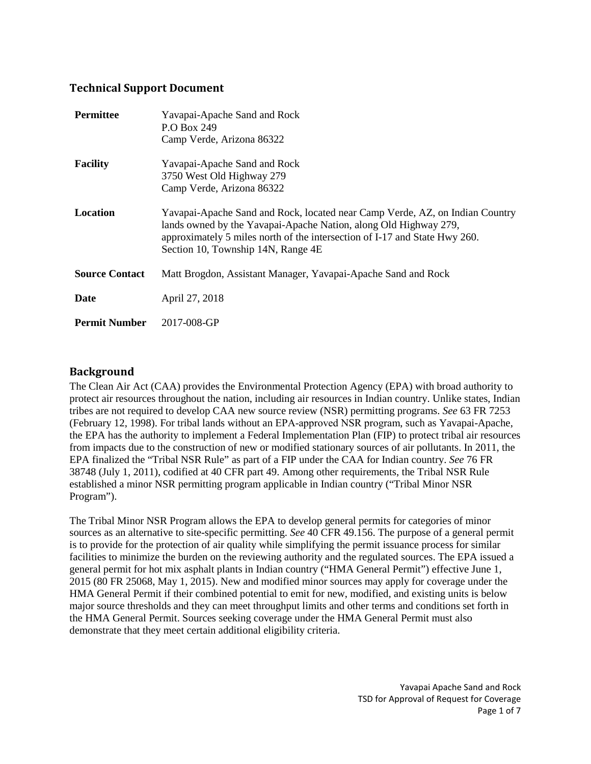### **Technical Support Document**

| <b>Permittee</b>      | Yavapai-Apache Sand and Rock<br>P.O Box 249<br>Camp Verde, Arizona 86322                                                                                                                                                                                             |  |  |  |
|-----------------------|----------------------------------------------------------------------------------------------------------------------------------------------------------------------------------------------------------------------------------------------------------------------|--|--|--|
| <b>Facility</b>       | Yavapai-Apache Sand and Rock<br>3750 West Old Highway 279<br>Camp Verde, Arizona 86322                                                                                                                                                                               |  |  |  |
| Location              | Yavapai-Apache Sand and Rock, located near Camp Verde, AZ, on Indian Country<br>lands owned by the Yavapai-Apache Nation, along Old Highway 279,<br>approximately 5 miles north of the intersection of I-17 and State Hwy 260.<br>Section 10, Township 14N, Range 4E |  |  |  |
| <b>Source Contact</b> | Matt Brogdon, Assistant Manager, Yavapai-Apache Sand and Rock                                                                                                                                                                                                        |  |  |  |
| Date                  | April 27, 2018                                                                                                                                                                                                                                                       |  |  |  |
| <b>Permit Number</b>  | 2017-008-GP                                                                                                                                                                                                                                                          |  |  |  |

## **Background**

The Clean Air Act (CAA) provides the Environmental Protection Agency (EPA) with broad authority to protect air resources throughout the nation, including air resources in Indian country. Unlike states, Indian tribes are not required to develop CAA new source review (NSR) permitting programs. *See* 63 FR 7253 (February 12, 1998). For tribal lands without an EPA‐approved NSR program, such as Yavapai-Apache, the EPA has the authority to implement a Federal Implementation Plan (FIP) to protect tribal air resources from impacts due to the construction of new or modified stationary sources of air pollutants. In 2011, the EPA finalized the "Tribal NSR Rule" as part of a FIP under the CAA for Indian country. *See* 76 FR 38748 (July 1, 2011), codified at 40 CFR part 49. Among other requirements, the Tribal NSR Rule established a minor NSR permitting program applicable in Indian country ("Tribal Minor NSR Program").

The Tribal Minor NSR Program allows the EPA to develop general permits for categories of minor sources as an alternative to site-specific permitting. *See* 40 CFR 49.156. The purpose of a general permit is to provide for the protection of air quality while simplifying the permit issuance process for similar facilities to minimize the burden on the reviewing authority and the regulated sources. The EPA issued a general permit for hot mix asphalt plants in Indian country ("HMA General Permit") effective June 1, 2015 (80 FR 25068, May 1, 2015). New and modified minor sources may apply for coverage under the HMA General Permit if their combined potential to emit for new, modified, and existing units is below major source thresholds and they can meet throughput limits and other terms and conditions set forth in the HMA General Permit. Sources seeking coverage under the HMA General Permit must also demonstrate that they meet certain additional eligibility criteria.

> Yavapai Apache Sand and Rock TSD for Approval of Request for Coverage Page 1 of 7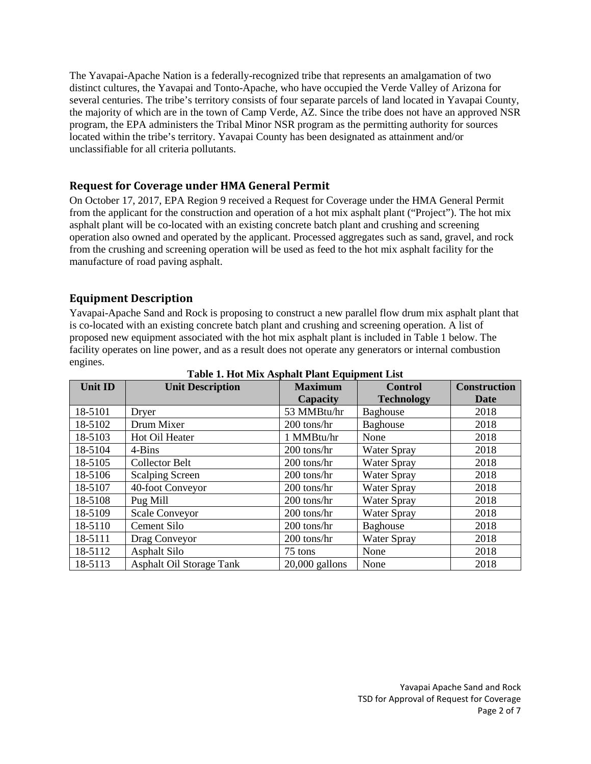The Yavapai-Apache Nation is a federally-recognized tribe that represents an amalgamation of two distinct cultures, the Yavapai and Tonto-Apache, who have occupied the Verde Valley of Arizona for several centuries. The tribe's territory consists of four separate parcels of land located in Yavapai County, the majority of which are in the town of Camp Verde, AZ. Since the tribe does not have an approved NSR program, the EPA administers the Tribal Minor NSR program as the permitting authority for sources located within the tribe's territory. Yavapai County has been designated as attainment and/or unclassifiable for all criteria pollutants.

## **Request for Coverage under HMA General Permit**

On October 17, 2017, EPA Region 9 received a Request for Coverage under the HMA General Permit from the applicant for the construction and operation of a hot mix asphalt plant ("Project"). The hot mix asphalt plant will be co-located with an existing concrete batch plant and crushing and screening operation also owned and operated by the applicant. Processed aggregates such as sand, gravel, and rock from the crushing and screening operation will be used as feed to the hot mix asphalt facility for the manufacture of road paving asphalt.

## **Equipment Description**

Yavapai-Apache Sand and Rock is proposing to construct a new parallel flow drum mix asphalt plant that is co-located with an existing concrete batch plant and crushing and screening operation. A list of proposed new equipment associated with the hot mix asphalt plant is included in Table 1 below. The facility operates on line power, and as a result does not operate any generators or internal combustion engines.

| <b>Unit ID</b> | <b>Unit Description</b>         | <b>Maximum</b>   | <b>Control</b>     | <b>Construction</b> |
|----------------|---------------------------------|------------------|--------------------|---------------------|
|                |                                 | Capacity         | <b>Technology</b>  | Date                |
| 18-5101        | Dryer                           | 53 MMBtu/hr      | <b>Baghouse</b>    | 2018                |
| 18-5102        | Drum Mixer                      | 200 tons/hr      | Baghouse           | 2018                |
| 18-5103        | Hot Oil Heater                  | 1 MMBtu/hr       | None               | 2018                |
| 18-5104        | $4 - Bins$                      | 200 tons/hr      | <b>Water Spray</b> | 2018                |
| 18-5105        | <b>Collector Belt</b>           | 200 tons/hr      | <b>Water Spray</b> | 2018                |
| 18-5106        | <b>Scalping Screen</b>          | 200 tons/hr      | <b>Water Spray</b> | 2018                |
| 18-5107        | 40-foot Conveyor                | 200 tons/hr      | <b>Water Spray</b> | 2018                |
| 18-5108        | Pug Mill                        | 200 tons/hr      | <b>Water Spray</b> | 2018                |
| 18-5109        | <b>Scale Conveyor</b>           | 200 tons/hr      | <b>Water Spray</b> | 2018                |
| 18-5110        | Cement Silo                     | 200 tons/hr      | Baghouse           | 2018                |
| 18-5111        | Drag Conveyor                   | 200 tons/hr      | <b>Water Spray</b> | 2018                |
| 18-5112        | Asphalt Silo                    | 75 tons          | None               | 2018                |
| 18-5113        | <b>Asphalt Oil Storage Tank</b> | $20,000$ gallons | None               | 2018                |

**Table 1. Hot Mix Asphalt Plant Equipment List**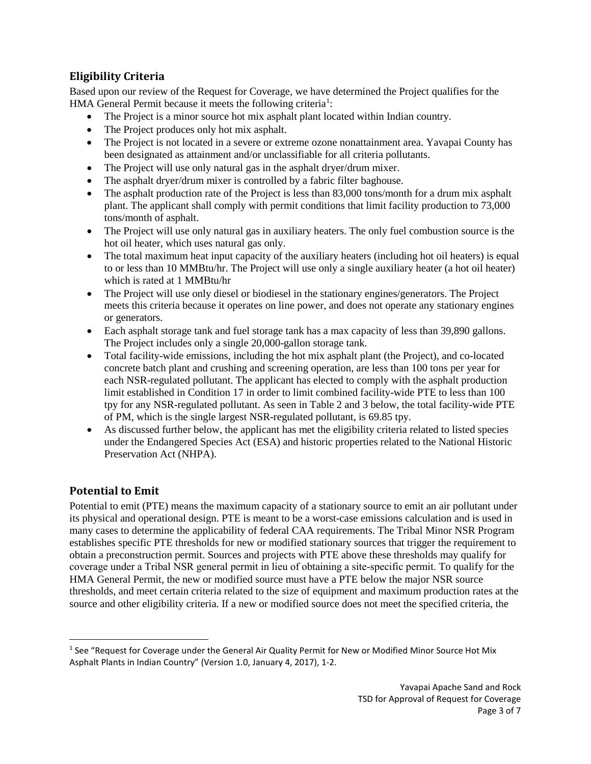# **Eligibility Criteria**

Based upon our review of the Request for Coverage, we have determined the Project qualifies for the HMA General Permit because it meets the following criteria<sup>[1](#page-2-0)</sup>:

- The Project is a minor source hot mix asphalt plant located within Indian country.
- The Project produces only hot mix asphalt.
- The Project is not located in a severe or extreme ozone nonattainment area. Yavapai County has been designated as attainment and/or unclassifiable for all criteria pollutants.
- The Project will use only natural gas in the asphalt dryer/drum mixer.
- The asphalt dryer/drum mixer is controlled by a fabric filter baghouse.
- The asphalt production rate of the Project is less than 83,000 tons/month for a drum mix asphalt plant. The applicant shall comply with permit conditions that limit facility production to 73,000 tons/month of asphalt.
- The Project will use only natural gas in auxiliary heaters. The only fuel combustion source is the hot oil heater, which uses natural gas only.
- The total maximum heat input capacity of the auxiliary heaters (including hot oil heaters) is equal to or less than 10 MMBtu/hr. The Project will use only a single auxiliary heater (a hot oil heater) which is rated at 1 MMBtu/hr
- The Project will use only diesel or biodiesel in the stationary engines/generators. The Project meets this criteria because it operates on line power, and does not operate any stationary engines or generators.
- Each asphalt storage tank and fuel storage tank has a max capacity of less than 39,890 gallons. The Project includes only a single 20,000-gallon storage tank.
- Total facility-wide emissions, including the hot mix asphalt plant (the Project), and co-located concrete batch plant and crushing and screening operation, are less than 100 tons per year for each NSR-regulated pollutant. The applicant has elected to comply with the asphalt production limit established in Condition 17 in order to limit combined facility-wide PTE to less than 100 tpy for any NSR-regulated pollutant. As seen in Table 2 and 3 below, the total facility-wide PTE of PM, which is the single largest NSR-regulated pollutant, is 69.85 tpy.
- As discussed further below, the applicant has met the eligibility criteria related to listed species under the Endangered Species Act (ESA) and historic properties related to the National Historic Preservation Act (NHPA).

# **Potential to Emit**

Potential to emit (PTE) means the maximum capacity of a stationary source to emit an air pollutant under its physical and operational design. PTE is meant to be a worst-case emissions calculation and is used in many cases to determine the applicability of federal CAA requirements. The Tribal Minor NSR Program establishes specific PTE thresholds for new or modified stationary sources that trigger the requirement to obtain a preconstruction permit. Sources and projects with PTE above these thresholds may qualify for coverage under a Tribal NSR general permit in lieu of obtaining a site‐specific permit. To qualify for the HMA General Permit, the new or modified source must have a PTE below the major NSR source thresholds, and meet certain criteria related to the size of equipment and maximum production rates at the source and other eligibility criteria. If a new or modified source does not meet the specified criteria, the

<span id="page-2-0"></span><sup>&</sup>lt;sup>1</sup> See "Request for Coverage under the General Air Quality Permit for New or Modified Minor Source Hot Mix Asphalt Plants in Indian Country" (Version 1.0, January 4, 2017), 1-2.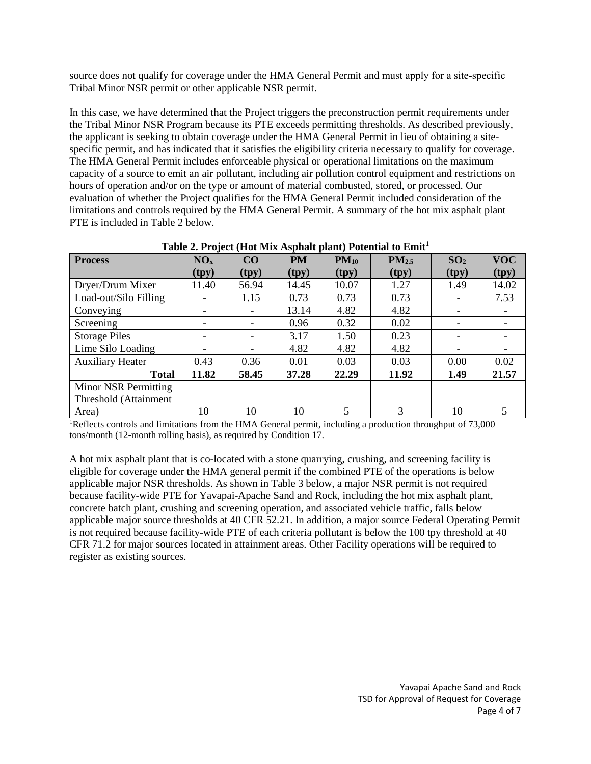source does not qualify for coverage under the HMA General Permit and must apply for a site-specific Tribal Minor NSR permit or other applicable NSR permit.

In this case, we have determined that the Project triggers the preconstruction permit requirements under the Tribal Minor NSR Program because its PTE exceeds permitting thresholds. As described previously, the applicant is seeking to obtain coverage under the HMA General Permit in lieu of obtaining a sitespecific permit, and has indicated that it satisfies the eligibility criteria necessary to qualify for coverage. The HMA General Permit includes enforceable physical or operational limitations on the maximum capacity of a source to emit an air pollutant, including air pollution control equipment and restrictions on hours of operation and/or on the type or amount of material combusted, stored, or processed. Our evaluation of whether the Project qualifies for the HMA General Permit included consideration of the limitations and controls required by the HMA General Permit. A summary of the hot mix asphalt plant PTE is included in Table 2 below.

| <b>Process</b>          | NO <sub>x</sub> | CO    | <b>PM</b> | $PM_{10}$ | PM <sub>2.5</sub> | SO <sub>2</sub> | <b>VOC</b> |
|-------------------------|-----------------|-------|-----------|-----------|-------------------|-----------------|------------|
|                         | (tpy)           | (tpy) | (tpy)     | (tpy)     | (tpy)             | (tpy)           | (tpy)      |
| Dryer/Drum Mixer        | 11.40           | 56.94 | 14.45     | 10.07     | 1.27              | 1.49            | 14.02      |
| Load-out/Silo Filling   | -               | 1.15  | 0.73      | 0.73      | 0.73              |                 | 7.53       |
| Conveying               |                 |       | 13.14     | 4.82      | 4.82              |                 |            |
| Screening               | -               |       | 0.96      | 0.32      | 0.02              |                 |            |
| <b>Storage Piles</b>    | -               |       | 3.17      | 1.50      | 0.23              |                 |            |
| Lime Silo Loading       |                 |       | 4.82      | 4.82      | 4.82              |                 |            |
| <b>Auxiliary Heater</b> | 0.43            | 0.36  | 0.01      | 0.03      | 0.03              | 0.00            | 0.02       |
| <b>Total</b>            | 11.82           | 58.45 | 37.28     | 22.29     | 11.92             | 1.49            | 21.57      |
| Minor NSR Permitting    |                 |       |           |           |                   |                 |            |
| Threshold (Attainment   |                 |       |           |           |                   |                 |            |
| Area)                   | 10              | 10    | 10        | 5         | 3                 | 10              |            |

**Table 2. Project (Hot Mix Asphalt plant) Potential to Emit1**

<sup>1</sup>Reflects controls and limitations from the HMA General permit, including a production throughput of 73,000 tons/month (12-month rolling basis), as required by Condition 17.

A hot mix asphalt plant that is co-located with a stone quarrying, crushing, and screening facility is eligible for coverage under the HMA general permit if the combined PTE of the operations is below applicable major NSR thresholds. As shown in Table 3 below, a major NSR permit is not required because facility-wide PTE for Yavapai-Apache Sand and Rock, including the hot mix asphalt plant, concrete batch plant, crushing and screening operation, and associated vehicle traffic, falls below applicable major source thresholds at 40 CFR 52.21. In addition, a major source Federal Operating Permit is not required because facility-wide PTE of each criteria pollutant is below the 100 tpy threshold at 40 CFR 71.2 for major sources located in attainment areas. Other Facility operations will be required to register as existing sources.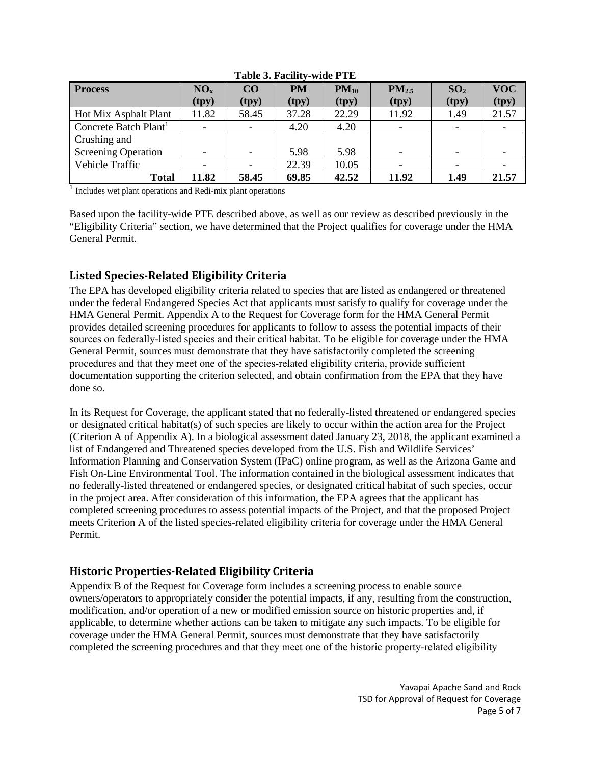| <b>Process</b>                    | NO <sub>x</sub>          | CO    | <b>PM</b> | $PM_{10}$ | PM <sub>2.5</sub>        | SO <sub>2</sub>          | <b>VOC</b> |
|-----------------------------------|--------------------------|-------|-----------|-----------|--------------------------|--------------------------|------------|
|                                   | (tpy)                    | (tpy) | (tpy)     | (tpy)     | (tpy)                    | (tpy)                    | (tpy)      |
| <b>Hot Mix Asphalt Plant</b>      | 11.82                    | 58.45 | 37.28     | 22.29     | 11.92                    | 1.49                     | 21.57      |
| Concrete Batch Plant <sup>1</sup> |                          |       | 4.20      | 4.20      |                          | $\overline{\phantom{0}}$ |            |
| Crushing and                      |                          |       |           |           |                          |                          |            |
| <b>Screening Operation</b>        | $\overline{\phantom{0}}$ |       | 5.98      | 5.98      | $\overline{\phantom{a}}$ | $\overline{\phantom{0}}$ |            |
| Vehicle Traffic                   |                          |       | 22.39     | 10.05     |                          |                          |            |
| Total                             | 11.82                    | 58.45 | 69.85     | 42.52     | 11.92                    | 1.49                     | 21.57      |

#### **Table 3. Facility-wide PTE**

<sup>1</sup> Includes wet plant operations and Redi-mix plant operations

Based upon the facility-wide PTE described above, as well as our review as described previously in the "Eligibility Criteria" section, we have determined that the Project qualifies for coverage under the HMA General Permit.

## **Listed Species-Related Eligibility Criteria**

The EPA has developed eligibility criteria related to species that are listed as endangered or threatened under the federal Endangered Species Act that applicants must satisfy to qualify for coverage under the HMA General Permit. Appendix A to the Request for Coverage form for the HMA General Permit provides detailed screening procedures for applicants to follow to assess the potential impacts of their sources on federally-listed species and their critical habitat. To be eligible for coverage under the HMA General Permit, sources must demonstrate that they have satisfactorily completed the screening procedures and that they meet one of the species‐related eligibility criteria, provide sufficient documentation supporting the criterion selected, and obtain confirmation from the EPA that they have done so.

In its Request for Coverage, the applicant stated that no federally-listed threatened or endangered species or designated critical habitat(s) of such species are likely to occur within the action area for the Project (Criterion A of Appendix A). In a biological assessment dated January 23, 2018, the applicant examined a list of Endangered and Threatened species developed from the U.S. Fish and Wildlife Services' Information Planning and Conservation System (IPaC) online program, as well as the Arizona Game and Fish On-Line Environmental Tool. The information contained in the biological assessment indicates that no federally-listed threatened or endangered species, or designated critical habitat of such species, occur in the project area. After consideration of this information, the EPA agrees that the applicant has completed screening procedures to assess potential impacts of the Project, and that the proposed Project meets Criterion A of the listed species-related eligibility criteria for coverage under the HMA General Permit.

## **Historic Properties-Related Eligibility Criteria**

Appendix B of the Request for Coverage form includes a screening process to enable source owners/operators to appropriately consider the potential impacts, if any, resulting from the construction, modification, and/or operation of a new or modified emission source on historic properties and, if applicable, to determine whether actions can be taken to mitigate any such impacts. To be eligible for coverage under the HMA General Permit, sources must demonstrate that they have satisfactorily completed the screening procedures and that they meet one of the historic property-related eligibility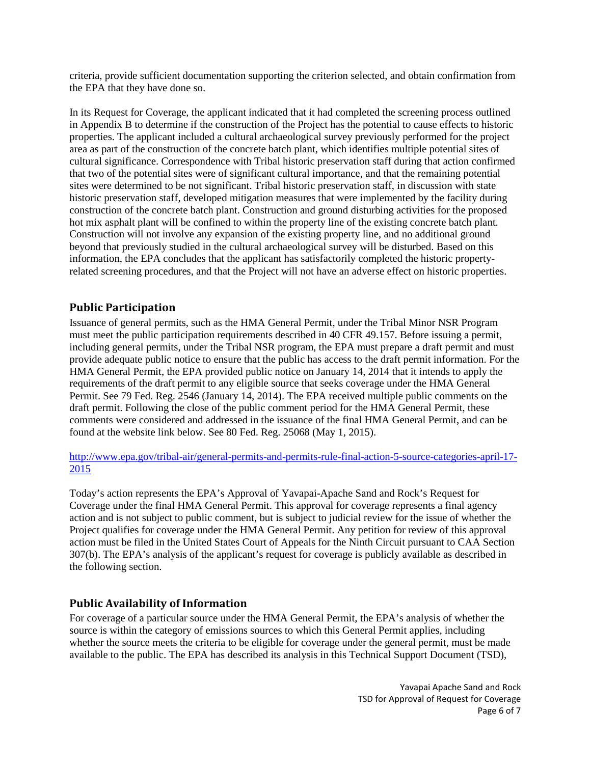criteria, provide sufficient documentation supporting the criterion selected, and obtain confirmation from the EPA that they have done so.

In its Request for Coverage, the applicant indicated that it had completed the screening process outlined in Appendix B to determine if the construction of the Project has the potential to cause effects to historic properties. The applicant included a cultural archaeological survey previously performed for the project area as part of the construction of the concrete batch plant, which identifies multiple potential sites of cultural significance. Correspondence with Tribal historic preservation staff during that action confirmed that two of the potential sites were of significant cultural importance, and that the remaining potential sites were determined to be not significant. Tribal historic preservation staff, in discussion with state historic preservation staff, developed mitigation measures that were implemented by the facility during construction of the concrete batch plant. Construction and ground disturbing activities for the proposed hot mix asphalt plant will be confined to within the property line of the existing concrete batch plant. Construction will not involve any expansion of the existing property line, and no additional ground beyond that previously studied in the cultural archaeological survey will be disturbed. Based on this information, the EPA concludes that the applicant has satisfactorily completed the historic propertyrelated screening procedures, and that the Project will not have an adverse effect on historic properties.

## **Public Participation**

Issuance of general permits, such as the HMA General Permit, under the Tribal Minor NSR Program must meet the public participation requirements described in 40 CFR 49.157. Before issuing a permit, including general permits, under the Tribal NSR program, the EPA must prepare a draft permit and must provide adequate public notice to ensure that the public has access to the draft permit information. For the HMA General Permit, the EPA provided public notice on January 14, 2014 that it intends to apply the requirements of the draft permit to any eligible source that seeks coverage under the HMA General Permit. See 79 Fed. Reg. 2546 (January 14, 2014). The EPA received multiple public comments on the draft permit. Following the close of the public comment period for the HMA General Permit, these comments were considered and addressed in the issuance of the final HMA General Permit, and can be found at the website link below. See 80 Fed. Reg. 25068 (May 1, 2015).

[http://www.epa.gov/tribal-air/general-permits-and-permits-rule-final-action-5-source-categories-april-17-](http://www.epa.gov/tribal-air/general-permits-and-permits-rule-final-action-5-source-categories-april-17-2015) [2015](http://www.epa.gov/tribal-air/general-permits-and-permits-rule-final-action-5-source-categories-april-17-2015)

Today's action represents the EPA's Approval of Yavapai-Apache Sand and Rock's Request for Coverage under the final HMA General Permit. This approval for coverage represents a final agency action and is not subject to public comment, but is subject to judicial review for the issue of whether the Project qualifies for coverage under the HMA General Permit. Any petition for review of this approval action must be filed in the United States Court of Appeals for the Ninth Circuit pursuant to CAA Section 307(b). The EPA's analysis of the applicant's request for coverage is publicly available as described in the following section.

### **Public Availability of Information**

For coverage of a particular source under the HMA General Permit, the EPA's analysis of whether the source is within the category of emissions sources to which this General Permit applies, including whether the source meets the criteria to be eligible for coverage under the general permit, must be made available to the public. The EPA has described its analysis in this Technical Support Document (TSD),